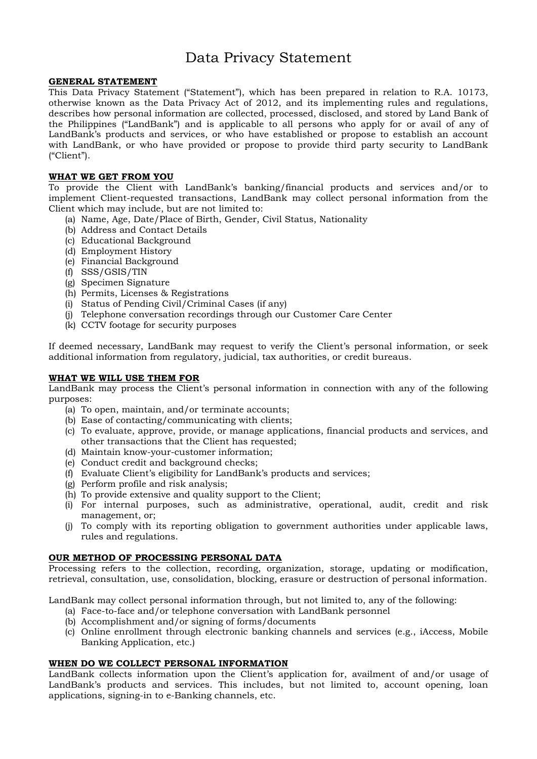# Data Privacy Statement

## **GENERAL STATEMENT**

This Data Privacy Statement ("Statement"), which has been prepared in relation to R.A. 10173, otherwise known as the Data Privacy Act of 2012, and its implementing rules and regulations, describes how personal information are collected, processed, disclosed, and stored by Land Bank of the Philippines ("LandBank") and is applicable to all persons who apply for or avail of any of LandBank's products and services, or who have established or propose to establish an account with LandBank, or who have provided or propose to provide third party security to LandBank ("Client").

## **WHAT WE GET FROM YOU**

To provide the Client with LandBank's banking/financial products and services and/or to implement Client-requested transactions, LandBank may collect personal information from the Client which may include, but are not limited to:

- (a) Name, Age, Date/Place of Birth, Gender, Civil Status, Nationality
- (b) Address and Contact Details
- (c) Educational Background
- (d) Employment History
- (e) Financial Background
- (f) SSS/GSIS/TIN
- (g) Specimen Signature
- (h) Permits, Licenses & Registrations
- (i) Status of Pending Civil/Criminal Cases (if any)
- (j) Telephone conversation recordings through our Customer Care Center
- (k) CCTV footage for security purposes

If deemed necessary, LandBank may request to verify the Client's personal information, or seek additional information from regulatory, judicial, tax authorities, or credit bureaus.

#### **WHAT WE WILL USE THEM FOR**

LandBank may process the Client's personal information in connection with any of the following purposes:

- (a) To open, maintain, and/or terminate accounts;
- (b) Ease of contacting/communicating with clients;
- (c) To evaluate, approve, provide, or manage applications, financial products and services, and other transactions that the Client has requested;
- (d) Maintain know-your-customer information;
- (e) Conduct credit and background checks;
- (f) Evaluate Client's eligibility for LandBank's products and services;
- (g) Perform profile and risk analysis;
- (h) To provide extensive and quality support to the Client;
- (i) For internal purposes, such as administrative, operational, audit, credit and risk management, or;
- (j) To comply with its reporting obligation to government authorities under applicable laws, rules and regulations.

## **OUR METHOD OF PROCESSING PERSONAL DATA**

Processing refers to the collection, recording, organization, storage, updating or modification, retrieval, consultation, use, consolidation, blocking, erasure or destruction of personal information.

LandBank may collect personal information through, but not limited to, any of the following:

- (a) Face-to-face and/or telephone conversation with LandBank personnel
- (b) Accomplishment and/or signing of forms/documents
- (c) Online enrollment through electronic banking channels and services (e.g., iAccess, Mobile Banking Application, etc.)

#### **WHEN DO WE COLLECT PERSONAL INFORMATION**

LandBank collects information upon the Client's application for, availment of and/or usage of LandBank's products and services. This includes, but not limited to, account opening, loan applications, signing-in to e-Banking channels, etc.